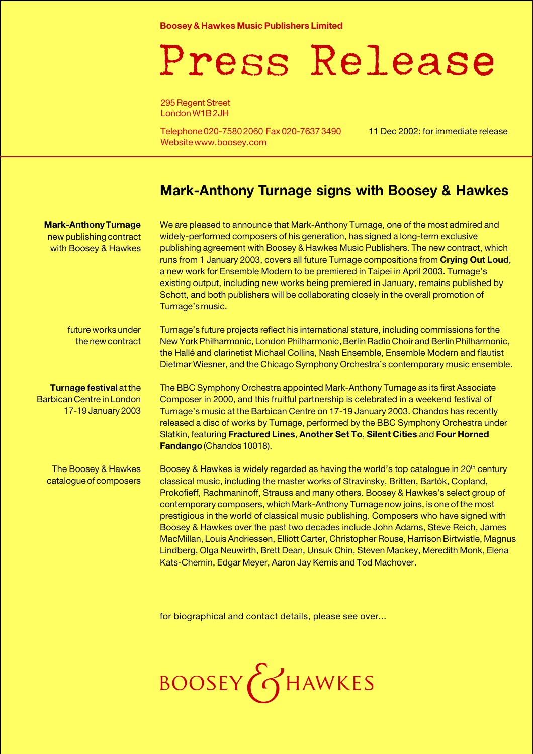**Boosey & Hawkes Music Publishers Limited**

## Press Release

295 Regent Street London W1B 2JH

Telephone 020-7580 2060 Fax 020-7637 3490 Website www.boosey.com

11 Dec 2002: for immediate release

## **Mark-Anthony Turnage signs with Boosey & Hawkes**

| <b>Mark-Anthony Turnage</b><br>new publishing contract<br>with Boosey & Hawkes    | We are pleased to announce that Mark-Anthony Turnage, one of the most admired and<br>widely-performed composers of his generation, has signed a long-term exclusive<br>publishing agreement with Boosey & Hawkes Music Publishers. The new contract, which<br>runs from 1 January 2003, covers all future Turnage compositions from Crying Out Loud,<br>a new work for Ensemble Modern to be premiered in Taipei in April 2003. Turnage's<br>existing output, including new works being premiered in January, remains published by<br>Schott, and both publishers will be collaborating closely in the overall promotion of<br>Turnage's music.                                                                                                                                                              |
|-----------------------------------------------------------------------------------|--------------------------------------------------------------------------------------------------------------------------------------------------------------------------------------------------------------------------------------------------------------------------------------------------------------------------------------------------------------------------------------------------------------------------------------------------------------------------------------------------------------------------------------------------------------------------------------------------------------------------------------------------------------------------------------------------------------------------------------------------------------------------------------------------------------|
| future works under<br>the new contract                                            | Turnage's future projects reflect his international stature, including commissions for the<br>New York Philharmonic, London Philharmonic, Berlin Radio Choir and Berlin Philharmonic,<br>the Hallé and clarinetist Michael Collins, Nash Ensemble, Ensemble Modern and flautist<br>Dietmar Wiesner, and the Chicago Symphony Orchestra's contemporary music ensemble.                                                                                                                                                                                                                                                                                                                                                                                                                                        |
| Turnage festival at the<br><b>Barbican Centre in London</b><br>17-19 January 2003 | The BBC Symphony Orchestra appointed Mark-Anthony Turnage as its first Associate<br>Composer in 2000, and this fruitful partnership is celebrated in a weekend festival of<br>Turnage's music at the Barbican Centre on 17-19 January 2003. Chandos has recently<br>released a disc of works by Turnage, performed by the BBC Symphony Orchestra under<br>Slatkin, featuring Fractured Lines, Another Set To, Silent Cities and Four Horned<br>Fandango (Chandos 10018).                                                                                                                                                                                                                                                                                                                                     |
| The Boosey & Hawkes<br>catalogue of composers                                     | Boosey & Hawkes is widely regarded as having the world's top catalogue in 20 <sup>th</sup> century<br>classical music, including the master works of Stravinsky, Britten, Bartók, Copland,<br>Prokofieff, Rachmaninoff, Strauss and many others. Boosey & Hawkes's select group of<br>contemporary composers, which Mark-Anthony Turnage now joins, is one of the most<br>prestigious in the world of classical music publishing. Composers who have signed with<br>Boosey & Hawkes over the past two decades include John Adams, Steve Reich, James<br>MacMillan, Louis Andriessen, Elliott Carter, Christopher Rouse, Harrison Birtwistle, Magnus<br>Lindberg, Olga Neuwirth, Brett Dean, Unsuk Chin, Steven Mackey, Meredith Monk, Elena<br>Kats-Chernin, Edgar Meyer, Aaron Jay Kernis and Tod Machover. |

for biographical and contact details, please see over...